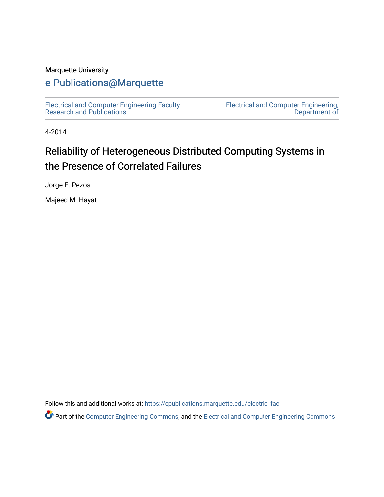#### Marquette University

## [e-Publications@Marquette](https://epublications.marquette.edu/)

[Electrical and Computer Engineering Faculty](https://epublications.marquette.edu/electric_fac) [Research and Publications](https://epublications.marquette.edu/electric_fac) 

[Electrical and Computer Engineering,](https://epublications.marquette.edu/electric)  [Department of](https://epublications.marquette.edu/electric) 

4-2014

# Reliability of Heterogeneous Distributed Computing Systems in the Presence of Correlated Failures

Jorge E. Pezoa

Majeed M. Hayat

Follow this and additional works at: [https://epublications.marquette.edu/electric\\_fac](https://epublications.marquette.edu/electric_fac?utm_source=epublications.marquette.edu%2Felectric_fac%2F565&utm_medium=PDF&utm_campaign=PDFCoverPages) 

Part of the [Computer Engineering Commons,](http://network.bepress.com/hgg/discipline/258?utm_source=epublications.marquette.edu%2Felectric_fac%2F565&utm_medium=PDF&utm_campaign=PDFCoverPages) and the [Electrical and Computer Engineering Commons](http://network.bepress.com/hgg/discipline/266?utm_source=epublications.marquette.edu%2Felectric_fac%2F565&utm_medium=PDF&utm_campaign=PDFCoverPages)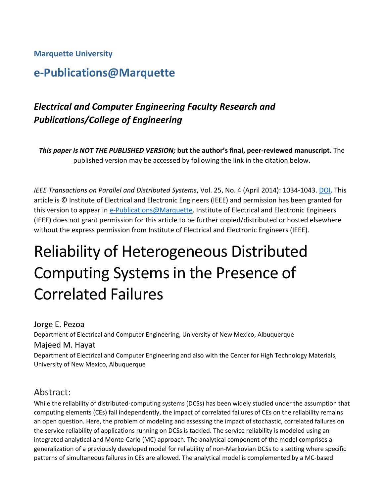#### **Marquette University**

## **e-Publications@Marquette**

## *Electrical and Computer Engineering Faculty Research and Publications/College of Engineering*

*This paper is NOT THE PUBLISHED VERSION;* **but the author's final, peer-reviewed manuscript.** The published version may be accessed by following the link in the citation below.

*IEEE Transactions on Parallel and Distributed Systems, Vol. 25, No. 4 (April 2014): 1034-1043[. DOI.](https://doi.org/10.1109/TPDS.2013.78) This* article is © Institute of Electrical and Electronic Engineers (IEEE) and permission has been granted for this version to appear i[n e-Publications@Marquette.](http://epublications.marquette.edu/) Institute of Electrical and Electronic Engineers (IEEE) does not grant permission for this article to be further copied/distributed or hosted elsewhere without the express permission from Institute of Electrical and Electronic Engineers (IEEE).

# Reliability of Heterogeneous Distributed Computing Systems in the Presence of Correlated Failures

## Jorge E. Pezoa Department of Electrical and Computer Engineering, University of New Mexico, Albuquerque Majeed M. Hayat Department of Electrical and Computer Engineering and also with the Center for High Technology Materials,

University of New Mexico, Albuquerque

## Abstract:

While the reliability of distributed-computing systems (DCSs) has been widely studied under the assumption that computing elements (CEs) fail independently, the impact of correlated failures of CEs on the reliability remains an open question. Here, the problem of modeling and assessing the impact of stochastic, correlated failures on the service reliability of applications running on DCSs is tackled. The service reliability is modeled using an integrated analytical and Monte-Carlo (MC) approach. The analytical component of the model comprises a generalization of a previously developed model for reliability of non-Markovian DCSs to a setting where specific patterns of simultaneous failures in CEs are allowed. The analytical model is complemented by a MC-based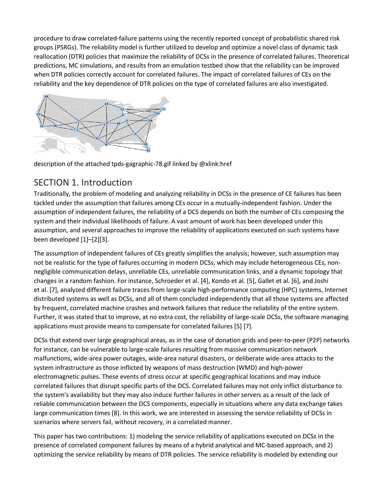procedure to draw correlated-failure patterns using the recently reported concept of probabilistic shared risk groups (PSRGs). The reliability model is further utilized to develop and optimize a novel class of dynamic task reallocation (DTR) policies that maximize the reliability of DCSs in the presence of correlated failures. Theoretical predictions, MC simulations, and results from an emulation testbed show that the reliability can be improved when DTR policies correctly account for correlated failures. The impact of correlated failures of CEs on the reliability and the key dependence of DTR policies on the type of correlated failures are also investigated.



description of the attached tpds-gagraphic-78.gif linked by @xlink:href

## SECTION 1. Introduction

Traditionally, the problem of modeling and analyzing reliability in DCSs in the presence of CE failures has been tackled under the assumption that failures among CEs occur in a mutually-independent fashion. Under the assumption of independent failures, the reliability of a DCS depends on both the number of CEs composing the system and their individual likelihoods of failure. A vast amount of work has been developed under this assumption, and several approaches to improve the reliability of applications executed on such systems have been developed [1]–[2][3].

The assumption of independent failures of CEs greatly simplifies the analysis; however, such assumption may not be realistic for the type of failures occurring in modern DCSs, which may include heterogeneous CEs, nonnegligible communication delays, unreliable CEs, unreliable communication links, and a dynamic topology that changes in a random fashion. For instance, Schroeder et al. [4], Kondo et al. [5], Gallet et al. [6], and Joshi et al. [7], analyzed different failure traces from large-scale high-performance computing (HPC) systems, Internet distributed systems as well as DCSs, and all of them concluded independently that all those systems are affected by frequent, correlated machine crashes and network failures that reduce the reliability of the entire system. Further, it was stated that to improve, at no extra cost, the reliability of large-scale DCSs, the software managing applications must provide means to compensate for correlated failures [5] [7].

DCSs that extend over large geographical areas, as in the case of donation grids and peer-to-peer (P2P) networks for instance, can be vulnerable to large-scale failures resulting from massive communication network malfunctions, wide-area power outages, wide-area natural disasters, or deliberate wide-area attacks to the system infrastructure as those inflicted by weapons of mass destruction (WMD) and high-power electromagnetic pulses. These events of stress occur at specific geographical locations and may induce correlated failures that disrupt specific parts of the DCS. Correlated failures may not only inflict disturbance to the system's availability but they may also induce further failures in other servers as a result of the lack of reliable communication between the DCS components, especially in situations where any data exchange takes large communication times [8]. In this work, we are interested in assessing the service reliability of DCSs in scenarios where servers fail, without recovery, in a correlated manner.

This paper has two contributions: 1) modeling the service reliability of applications executed on DCSs in the presence of correlated component failures by means of a hybrid analytical and MC-based approach, and 2) optimizing the service reliability by means of DTR policies. The service reliability is modeled by extending our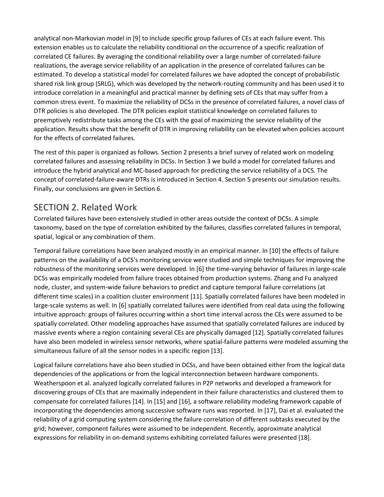analytical non-Markovian model in [9] to include specific group failures of CEs at each failure event. This extension enables us to calculate the reliability conditional on the occurrence of a specific realization of correlated CE failures. By averaging the conditional reliability over a large number of correlated-failure realizations, the average service reliability of an application in the presence of correlated failures can be estimated. To develop a statistical model for correlated failures we have adopted the concept of probabilistic shared risk link group (SRLG), which was developed by the network-routing community and has been used it to introduce correlation in a meaningful and practical manner by defining sets of CEs that may suffer from a common stress event. To maximize the reliability of DCSs in the presence of correlated failures, a novel class of DTR policies is also developed. The DTR policies exploit statistical knowledge on correlated failures to preemptively redistribute tasks among the CEs with the goal of maximizing the service reliability of the application. Results show that the benefit of DTR in improving reliability can be elevated when policies account for the effects of correlated failures.

The rest of this paper is organized as follows. Section 2 presents a brief survey of related work on modeling correlated failures and assessing reliability in DCSs. In Section 3 we build a model for correlated failures and introduce the hybrid analytical and MC-based approach for predicting the service reliability of a DCS. The concept of correlated-failure-aware DTRs is introduced in Section 4. Section 5 presents our simulation results. Finally, our conclusions are given in Section 6.

## SECTION 2. Related Work

Correlated failures have been extensively studied in other areas outside the context of DCSs. A simple taxonomy, based on the type of correlation exhibited by the failures, classifies correlated failures in temporal, spatial, logical or any combination of them.

Temporal failure correlations have been analyzed mostly in an empirical manner. In [10] the effects of failure patterns on the availability of a DCS's monitoring service were studied and simple techniques for improving the robustness of the monitoring services were developed. In [6] the time-varying behavior of failures in large-scale DCSs was empirically modeled from failure traces obtained from production systems. Zhang and Fu analyzed node, cluster, and system-wide failure behaviors to predict and capture temporal failure correlations (at different time scales) in a coalition cluster environment [11]. Spatially correlated failures have been modeled in large-scale systems as well. In [6] spatially correlated failures were identified from real data using the following intuitive approach: groups of failures occurring within a short time interval across the CEs were assumed to be spatially correlated. Other modeling approaches have assumed that spatially correlated failures are induced by massive events where a region containing several CEs are physically damaged [12]. Spatially correlated failures have also been modeled in wireless sensor networks, where spatial-failure patterns were modeled assuming the simultaneous failure of all the sensor nodes in a specific region [13].

Logical failure correlations have also been studied in DCSs, and have been obtained either from the logical data dependencies of the applications or from the logical interconnection between hardware components. Weatherspoon et al. analyzed logically correlated failures in P2P networks and developed a framework for discovering groups of CEs that are maximally independent in their failure characteristics and clustered them to compensate for correlated failures [14]. In [15] and [16], a software reliability modeling framework capable of incorporating the dependencies among successive software runs was reported. In [17], Dai et al. evaluated the reliability of a grid computing system considering the failure correlation of different subtasks executed by the grid; however, component failures were assumed to be independent. Recently, approximate analytical expressions for reliability in on-demand systems exhibiting correlated failures were presented [18].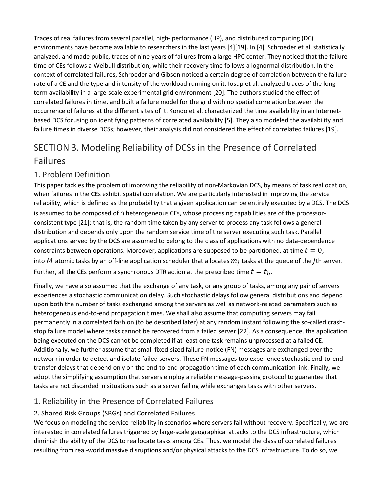Traces of real failures from several parallel, high- performance (HP), and distributed computing (DC) environments have become available to researchers in the last years [4][19]. In [4], Schroeder et al. statistically analyzed, and made public, traces of nine years of failures from a large HPC center. They noticed that the failure time of CEs follows a Weibull distribution, while their recovery time follows a lognormal distribution. In the context of correlated failures, Schroeder and Gibson noticed a certain degree of correlation between the failure rate of a CE and the type and intensity of the workload running on it. Iosup et al. analyzed traces of the longterm availability in a large-scale experimental grid environment [20]. The authors studied the effect of correlated failures in time, and built a failure model for the grid with no spatial correlation between the occurrence of failures at the different sites of it. Kondo et al. characterized the time availability in an Internetbased DCS focusing on identifying patterns of correlated availability [5]. They also modeled the availability and failure times in diverse DCSs; however, their analysis did not considered the effect of correlated failures [19].

# SECTION 3. Modeling Reliability of DCSs in the Presence of Correlated Failures

#### 1. Problem Definition

This paper tackles the problem of improving the reliability of non-Markovian DCS, by means of task reallocation, when failures in the CEs exhibit spatial correlation. We are particularly interested in improving the service reliability, which is defined as the probability that a given application can be entirely executed by a DCS. The DCS is assumed to be composed of n heterogeneous CEs, whose processing capabilities are of the processorconsistent type [21]; that is, the random time taken by any server to process any task follows a general distribution and depends only upon the random service time of the server executing such task. Parallel applications served by the DCS are assumed to belong to the class of applications with no data-dependence constraints between operations. Moreover, applications are supposed to be partitioned, at time  $t = 0$ , into M atomic tasks by an off-line application scheduler that allocates  $m_i$  tasks at the queue of the *j*th server. Further, all the CEs perform a synchronous DTR action at the prescribed time  $t = t<sub>b</sub>$ .

Finally, we have also assumed that the exchange of any task, or any group of tasks, among any pair of servers experiences a stochastic communication delay. Such stochastic delays follow general distributions and depend upon both the number of tasks exchanged among the servers as well as network-related parameters such as heterogeneous end-to-end propagation times. We shall also assume that computing servers may fail permanently in a correlated fashion (to be described later) at any random instant following the so-called crashstop failure model where tasks cannot be recovered from a failed server [22]. As a consequence, the application being executed on the DCS cannot be completed if at least one task remains unprocessed at a failed CE. Additionally, we further assume that small fixed-sized failure-notice (FN) messages are exchanged over the network in order to detect and isolate failed servers. These FN messages too experience stochastic end-to-end transfer delays that depend only on the end-to-end propagation time of each communication link. Finally, we adopt the simplifying assumption that servers employ a reliable message-passing protocol to guarantee that tasks are not discarded in situations such as a server failing while exchanges tasks with other servers.

#### 1. Reliability in the Presence of Correlated Failures

#### 2. Shared Risk Groups (SRGs) and Correlated Failures

We focus on modeling the service reliability in scenarios where servers fail without recovery. Specifically, we are interested in correlated failures triggered by large-scale geographical attacks to the DCS infrastructure, which diminish the ability of the DCS to reallocate tasks among CEs. Thus, we model the class of correlated failures resulting from real-world massive disruptions and/or physical attacks to the DCS infrastructure. To do so, we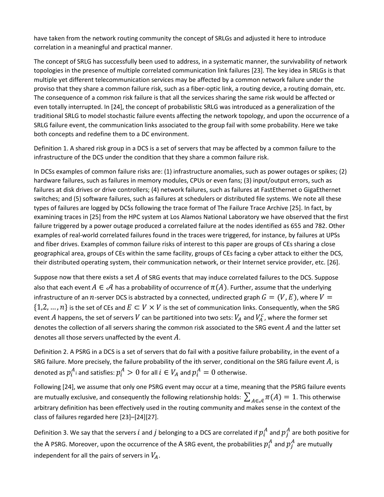have taken from the network routing community the concept of SRLGs and adjusted it here to introduce correlation in a meaningful and practical manner.

The concept of SRLG has successfully been used to address, in a systematic manner, the survivability of network topologies in the presence of multiple correlated communication link failures [23]. The key idea in SRLGs is that multiple yet different telecommunication services may be affected by a common network failure under the proviso that they share a common failure risk, such as a fiber-optic link, a routing device, a routing domain, etc. The consequence of a common risk failure is that all the services sharing the same risk would be affected or even totally interrupted. In [24], the concept of probabilistic SRLG was introduced as a generalization of the traditional SRLG to model stochastic failure events affecting the network topology, and upon the occurrence of a SRLG failure event, the communication links associated to the group fail with some probability. Here we take both concepts and redefine them to a DC environment.

Definition 1. A shared risk group in a DCS is a set of servers that may be affected by a common failure to the infrastructure of the DCS under the condition that they share a common failure risk.

In DCSs examples of common failure risks are: (1) infrastructure anomalies, such as power outages or spikes; (2) hardware failures, such as failures in memory modules, CPUs or even fans; (3) input/output errors, such as failures at disk drives or drive controllers; (4) network failures, such as failures at FastEthernet o GigaEthernet switches; and (5) software failures, such as failures at schedulers or distributed file systems. We note all these types of failures are logged by DCSs following the trace format of The Failure Trace Archive [25]. In fact, by examining traces in [25] from the HPC system at Los Alamos National Laboratory we have observed that the first failure triggered by a power outage produced a correlated failure at the nodes identified as 655 and 782. Other examples of real-world correlated failures found in the traces were triggered, for instance, by failures at UPSs and fiber drives. Examples of common failure risks of interest to this paper are groups of CEs sharing a close geographical area, groups of CEs within the same facility, groups of CEs facing a cyber attack to either the DCS, their distributed operating system, their communication network, or their Internet service provider, etc. [26].

Suppose now that there exists a set  $A$  of SRG events that may induce correlated failures to the DCS. Suppose also that each event  $A \in \mathcal{A}$  has a probability of occurrence of  $\pi(A)$ . Further, assume that the underlying infrastructure of an n-server DCS is abstracted by a connected, undirected graph  $G = (V, E)$ , where  $V =$  $\{1,2,\ldots,n\}$  is the set of CEs and  $E \subset V \times V$  is the set of communication links. Consequently, when the SRG event  $A$  happens, the set of servers  $V$  can be partitioned into two sets:  $V_A$  and  $V_A^c$  , where the former set denotes the collection of all servers sharing the common risk associated to the SRG event  $A$  and the latter set denotes all those servers unaffected by the event  $A$ .

Definition 2. A PSRG in a DCS is a set of servers that do fail with a positive failure probability, in the event of a SRG failure. More precisely, the failure probability of the ith server, conditional on the SRG failure event  $A$ , is denoted as  $p_i^A$  and satisfies:  $p_i^A > 0$  for all  $i \in V_A$  and  $p_i^A = 0$  otherwise.

Following [24], we assume that only one PSRG event may occur at a time, meaning that the PSRG failure events are mutually exclusive, and consequently the following relationship holds:  $\sum_{A \in \mathcal{A}} \pi(A) = 1$ . This otherwise arbitrary definition has been effectively used in the routing community and makes sense in the context of the class of failures regarded here [23]–[24][27].

Definition 3. We say that the servers  $i$  and  $j$  belonging to a DCS are correlated if  $p_i^A$  and  $p_j^A$  are both positive for the A PSRG. Moreover, upon the occurrence of the A SRG event, the probabilities  $p^A_i$  and  $p^A_j$  are mutually independent for all the pairs of servers in  $V_A$ .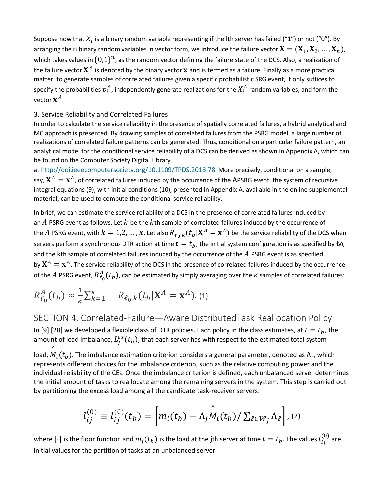Suppose now that  $X_i$  is a binary random variable representing if the ith server has failed ("1") or not ("0"). By arranging the n binary random variables in vector form, we introduce the failure vector  $X = (X_1, X_2, ..., X_n)$ , which takes values in  $\{0,1\}^n$ , as the random vector defining the failure state of the DCS. Also, a realization of the failure vector  $X^A$  is denoted by the binary vector  $x$  and is termed as a failure. Finally as a more practical matter, to generate samples of correlated failures given a specific probabilistic SRG event, it only suffices to specify the probabilities  $p_i^A$ , independently generate realizations for the  $X_i^A$  random variables, and form the vector  $\mathbf{x}^A$ .

#### 3. Service Reliability and Correlated Failures

In order to calculate the service reliability in the presence of spatially correlated failures, a hybrid analytical and MC approach is presented. By drawing samples of correlated failures from the PSRG model, a large number of realizations of correlated failure patterns can be generated. Thus, conditional on a particular failure pattern, an analytical model for the conditional service reliability of a DCS can be derived as shown in Appendix A, which can be found on the Computer Society Digital Library

at [http://doi.ieeecomputersociety.org/10.1109/TPDS.2013.78.](http://doi.ieeecomputersociety.org/10.1109/TPDS.2013.78) More precisely, conditional on a sample, say,  $X^A = x^A$ , of correlated failures induced by the occurrence of the APSRG event, the system of recursive integral equations (9), with initial conditions (10), presented in Appendix A, available in the online supplemental material, can be used to compute the conditional service reliability.

In brief, we can estimate the service reliability of a DCS in the presence of correlated failures induced by an  $\Lambda$  PSRG event as follows. Let  $k$  be the  $k$ th sample of correlated failures induced by the occurrence of the A PSRG event, with  $k = 1,2,..., \kappa$ . Let also  $R_{\ell_0,k}(t_b|\mathbf{X}^A = \mathbf{x}^A)$  be the service reliability of the DCS when servers perform a synchronous DTR action at time  $t = t_b$ , the initial system configuration is as specified by  $\ell_0$ , and the kth sample of correlated failures induced by the occurrence of the  $A$  PSRG event is as specified by  $X^A = x^A$ . The service reliability of the DCS in the presence of correlated failures induced by the occurrence of the  $A$  PSRG event,  $R_{\ell_0}^A(t_b)$ , can be estimated by simply averaging over the  $\kappa$  samples of correlated failures:

$$
R_{\ell_0}^A(t_b) \approx \frac{1}{\kappa} \sum_{k=1}^{\kappa} R_{\ell_0,k}(t_b|{\bf X}^A={\bf x}^A).
$$
 (1)

SECTION 4. Correlated-Failure—Aware DistributedTask Reallocation Policy In [9] [28] we developed a flexible class of DTR policies. Each policy in the class estimates, at  $t = t<sub>b</sub>$ , the amount of load imbalance,  $L_j^{ex}(t_b)$ , that each server has with respect to the estimated total system load,  $\stackrel{\wedge}{M}_i(t_b)$ . The imbalance estimation criterion considers a general parameter, denoted as  $\Lambda_j$ , which represents different choices for the imbalance criterion, such as the relative computing power and the individual reliability of the CEs. Once the imbalance criterion is defined, each unbalanced server determines the initial amount of tasks to reallocate among the remaining servers in the system. This step is carried out by partitioning the excess load among all the candidate task-receiver servers:

$$
l_{ij}^{(0)} \equiv l_{ij}^{(0)}(t_b) = \left[ m_i(t_b) - \hat{\Lambda_j} \hat{M}_i(t_b) / \sum_{\ell \in \mathcal{W}_j} \hat{\Lambda}_{\ell} \right], (2)
$$

where  $[\cdot]$  is the floor function and  $m_j(t_b)$  is the load at the jth server at time  $t=t_b.$  The values  $l^{(0)}_{ij}$  are initial values for the partition of tasks at an unbalanced server.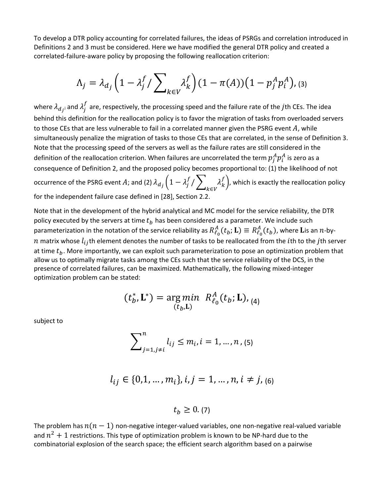To develop a DTR policy accounting for correlated failures, the ideas of PSRGs and correlation introduced in Definitions 2 and 3 must be considered. Here we have modified the general DTR policy and created a correlated-failure-aware policy by proposing the following reallocation criterion:

$$
\Lambda_j = \lambda_{d_j} \left( 1 - \lambda_j^f / \sum_{k \in V} \lambda_k^f \right) (1 - \pi(A)) \left( 1 - p_j^A p_i^A \right), \quad (3)
$$

where  $\lambda_{d_j}$  and  $\lambda_j^f$  are, respectively, the processing speed and the failure rate of the *j*th CEs. The idea behind this definition for the reallocation policy is to favor the migration of tasks from overloaded servers to those CEs that are less vulnerable to fail in a correlated manner given the PSRG event  $A$ , while simultaneously penalize the migration of tasks to those CEs that are correlated, in the sense of Definition 3. Note that the processing speed of the servers as well as the failure rates are still considered in the definition of the reallocation criterion. When failures are uncorrelated the term  $p_j^A p_i^A$  is zero as a consequence of Definition 2, and the proposed policy becomes proportional to: (1) the likelihood of not occurrence of the PSRG event  $A$ ; and (2)  $\lambda_{d_{j}}\Big(1-\lambda_{j}^{f}/\sum_{\nu\in V}\lambda_{k}^{f}\Big)$ ∈ �, which is exactly the reallocation policy for the independent failure case defined in [28], Section 2.2.

Note that in the development of the hybrid analytical and MC model for the service reliability, the DTR policy executed by the servers at time  $t<sub>b</sub>$  has been considered as a parameter. We include such parameterization in the notation of the service reliability as  $R_{\ell_0}^A(t_b;{\bf L})\equiv R_{\ell_0}^A(t_b)$ , where  ${\bf L}$ is an  $n$ -byn matrix whose  $l_{ij}$ th element denotes the number of tasks to be reallocated from the *i*th to the *j*th server at time  $t_b$ . More importantly, we can exploit such parameterization to pose an optimization problem that allow us to optimally migrate tasks among the CEs such that the service reliability of the DCS, in the presence of correlated failures, can be maximized. Mathematically, the following mixed-integer optimization problem can be stated:

$$
(t_b^*, \mathbf{L}^*) = \underset{(t_b, \mathbf{L})}{\arg min} R_{\ell_0}^A(t_b; \mathbf{L}),_{(4)}
$$

subject to

$$
\sum_{j=1, j\neq i}^{n} l_{ij} \le m_i, i = 1, ..., n, (5)
$$

$$
l_{ij} \in \{0,1,\ldots,m_i\}, i,j=1,\ldots,n, i \neq j, (6)
$$

 $t_h \geq 0.7$ 

The problem has  $n(n - 1)$  non-negative integer-valued variables, one non-negative real-valued variable and  $n^2 + 1$  restrictions. This type of optimization problem is known to be NP-hard due to the combinatorial explosion of the search space; the efficient search algorithm based on a pairwise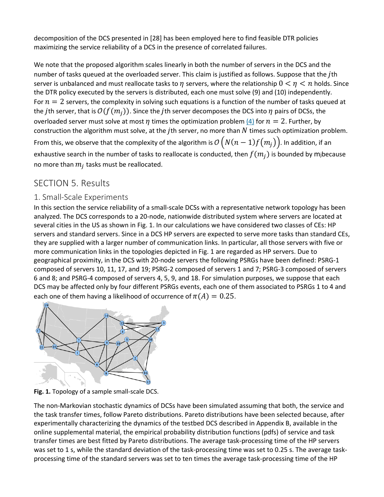decomposition of the DCS presented in [28] has been employed here to find feasible DTR policies maximizing the service reliability of a DCS in the presence of correlated failures.

We note that the proposed algorithm scales linearly in both the number of servers in the DCS and the number of tasks queued at the overloaded server. This claim is justified as follows. Suppose that the *j*th server is unbalanced and must reallocate tasks to  $\eta$  servers, where the relationship  $0 < \eta < n$  holds. Since the DTR policy executed by the servers is distributed, each one must solve (9) and (10) independently. For  $n = 2$  servers, the complexity in solving such equations is a function of the number of tasks queued at the jth server, that is  $O(f(m_i))$ . Since the jth server decomposes the DCS into  $\eta$  pairs of DCSs, the overloaded server must solve at most  $\eta$  times the optimization problem [\(4\)](https://ieeexplore.ieee.org/document/#deqn4) for  $n = 2$ . Further, by construction the algorithm must solve, at the jth server, no more than  $N$  times such optimization problem. From this, we observe that the complexity of the algorithm is  $\mathcal{O}\left(N(n-1)f\big(m_j\big)\right)$ . In addition, if an exhaustive search in the number of tasks to reallocate is conducted, then  $f(m_i)$  is bounded by mjbecause no more than  $m_i$  tasks must be reallocated.

## SECTION 5. Results

#### 1. Small-Scale Experiments

In this section the service reliability of a small-scale DCSs with a representative network topology has been analyzed. The DCS corresponds to a 20-node, nationwide distributed system where servers are located at several cities in the US as shown in Fig. 1. In our calculations we have considered two classes of CEs: HP servers and standard servers. Since in a DCS HP servers are expected to serve more tasks than standard CEs, they are supplied with a larger number of communication links. In particular, all those servers with five or more communication links in the topologies depicted in Fig. 1 are regarded as HP servers. Due to geographical proximity, in the DCS with 20-node servers the following PSRGs have been defined: PSRG-1 composed of servers 10, 11, 17, and 19; PSRG-2 composed of servers 1 and 7; PSRG-3 composed of servers 6 and 8; and PSRG-4 composed of servers 4, 5, 9, and 18. For simulation purposes, we suppose that each DCS may be affected only by four different PSRGs events, each one of them associated to PSRGs 1 to 4 and each one of them having a likelihood of occurrence of  $\pi(A) = 0.25$ .



**Fig. 1.** Topology of a sample small-scale DCS.

The non-Markovian stochastic dynamics of DCSs have been simulated assuming that both, the service and the task transfer times, follow Pareto distributions. Pareto distributions have been selected because, after experimentally characterizing the dynamics of the testbed DCS described in Appendix B, available in the online supplemental material, the empirical probability distribution functions (pdfs) of service and task transfer times are best fitted by Pareto distributions. The average task-processing time of the HP servers was set to 1 s, while the standard deviation of the task-processing time was set to 0.25 s. The average taskprocessing time of the standard servers was set to ten times the average task-processing time of the HP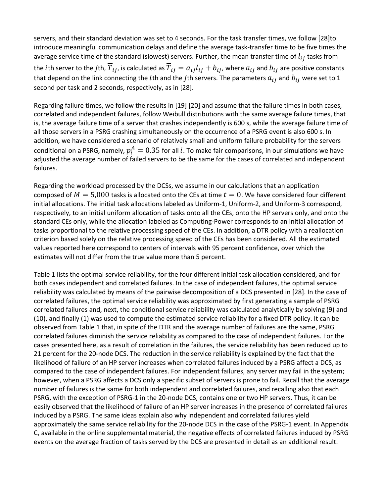servers, and their standard deviation was set to 4 seconds. For the task transfer times, we follow [28]to introduce meaningful communication delays and define the average task-transfer time to be five times the average service time of the standard (slowest) servers. Further, the mean transfer time of  $l_{ij}$  tasks from the *i*th server to the *j*th,  $\overline{T}_{ij}$ , is calculated as  $\overline{T}_{ij} = a_{ij}l_{ij} + b_{ij}$ , where  $a_{ij}$  and  $b_{ij}$  are positive constants that depend on the link connecting the *i*th and the *j*th servers. The parameters  $a_{ij}$  and  $b_{ij}$  were set to 1 second per task and 2 seconds, respectively, as in [28].

Regarding failure times, we follow the results in [19] [20] and assume that the failure times in both cases, correlated and independent failures, follow Weibull distributions with the same average failure times, that is, the average failure time of a server that crashes independently is 600 s, while the average failure time of all those servers in a PSRG crashing simultaneously on the occurrence of a PSRG event is also 600 s. In addition, we have considered a scenario of relatively small and uniform failure probability for the servers conditional on a PSRG, namely,  $p_i^A = 0.35$  for all i. To make fair comparisons, in our simulations we have adjusted the average number of failed servers to be the same for the cases of correlated and independent failures.

Regarding the workload processed by the DCSs, we assume in our calculations that an application composed of  $M = 5,000$  tasks is allocated onto the CEs at time  $t = 0$ . We have considered four different initial allocations. The initial task allocations labeled as Uniform-1, Uniform-2, and Uniform-3 correspond, respectively, to an initial uniform allocation of tasks onto all the CEs, onto the HP servers only, and onto the standard CEs only, while the allocation labeled as Computing-Power corresponds to an initial allocation of tasks proportional to the relative processing speed of the CEs. In addition, a DTR policy with a reallocation criterion based solely on the relative processing speed of the CEs has been considered. All the estimated values reported here correspond to centers of intervals with 95 percent confidence, over which the estimates will not differ from the true value more than 5 percent.

Table 1 lists the optimal service reliability, for the four different initial task allocation considered, and for both cases independent and correlated failures. In the case of independent failures, the optimal service reliability was calculated by means of the pairwise decomposition of a DCS presented in [28]. In the case of correlated failures, the optimal service reliability was approximated by first generating a sample of PSRG correlated failures and, next, the conditional service reliability was calculated analytically by solving (9) and (10), and finally (1) was used to compute the estimated service reliability for a fixed DTR policy. It can be observed from Table 1 that, in spite of the DTR and the average number of failures are the same, PSRG correlated failures diminish the service reliability as compared to the case of independent failures. For the cases presented here, as a result of correlation in the failures, the service reliability has been reduced up to 21 percent for the 20-node DCS. The reduction in the service reliability is explained by the fact that the likelihood of failure of an HP server increases when correlated failures induced by a PSRG affect a DCS, as compared to the case of independent failures. For independent failures, any server may fail in the system; however, when a PSRG affects a DCS only a specific subset of servers is prone to fail. Recall that the average number of failures is the same for both independent and correlated failures, and recalling also that each PSRG, with the exception of PSRG-1 in the 20-node DCS, contains one or two HP servers. Thus, it can be easily observed that the likelihood of failure of an HP server increases in the presence of correlated failures induced by a PSRG. The same ideas explain also why independent and correlated failures yield approximately the same service reliability for the 20-node DCS in the case of the PSRG-1 event. In Appendix C, available in the online supplemental material, the negative effects of correlated failures induced by PSRG events on the average fraction of tasks served by the DCS are presented in detail as an additional result.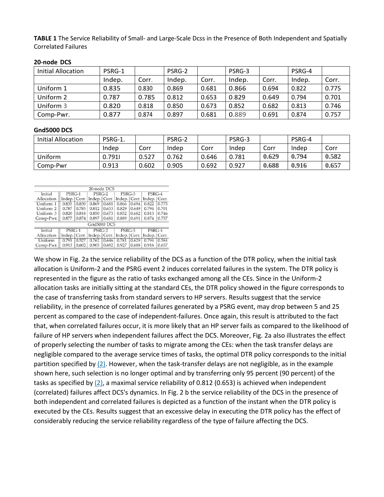**TABLE 1** The Service Reliability of Small- and Large-Scale Dcss in the Presence of Both Independent and Spatially Correlated Failures

| Initial Allocation | PSRG-1 |       | PSRG-2 |       | PSRG-3 |       | PSRG-4 |       |
|--------------------|--------|-------|--------|-------|--------|-------|--------|-------|
|                    | Indep. | Corr. | Indep. | Corr. | Indep. | Corr. | Indep. | Corr. |
| Uniform 1          | 0.835  | 0.830 | 0.869  | 0.681 | 0.866  | 0.694 | 0.822  | 0.775 |
| Uniform 2          | 0.787  | 0.785 | 0.812  | 0.653 | 0.829  | 0.649 | 0.794  | 0.701 |
| Uniform 3          | 0.820  | 0.818 | 0.850  | 0.673 | 0.852  | 0.682 | 0.813  | 0.746 |
| Comp-Pwr.          | 0.877  | 0.874 | 0.897  | 0.681 | 0.889  | 0.691 | 0.874  | 0.757 |

#### **20-node DCS**

#### **Gnd5000 DCS**

| Initial Allocation | PSRG-1. |       | PSRG-2 |       | PSRG-3 |       | PSRG-4 |       |
|--------------------|---------|-------|--------|-------|--------|-------|--------|-------|
|                    | Indep   | Corr  | Indep  | Corr  | Indep  | Corr  | Indep  | Corr  |
| Uniform            | 0.7911  | 0.527 | 0.762  | 0.646 | 0.781  | 0.629 | 0.794  | 0.582 |
| Comp-Pwr           | 0.913   | 0.602 | 0.905  | 0.692 | 0.927  | 0.688 | 0.916  | 0.657 |

|              | 20-node DCS    |       |                |       |                               |       |                |       |
|--------------|----------------|-------|----------------|-------|-------------------------------|-------|----------------|-------|
| Initial      | PSRG-1         |       | $PSRG-2$       |       | PSRG-3                        |       | PSRG-4         |       |
| Allocation   | Indep.   Corr. |       | Indep.   Corr. |       | Indep.   Corr.                |       | Indep.   Corr. |       |
| Uniform 1    | 0.835          | 0.830 | 0.869          | 0.681 | 0.866                         | 0.694 | 0.822          | 0.775 |
| Uniform 2    | 0.787          | 0.785 | 0.812          | 0.653 | 0.829                         | 0.649 | 0.794          | 0.701 |
| Uniform 3    | 0.820          | 0.818 | 0.850          | 0.673 | 0.852                         | 0.682 | 0.813          | 0.746 |
| Comp-Pwr.    | 0.877          | 0.874 | 0.897          | 0.681 | 0.889                         | 0.691 | 0.874          | 0.757 |
| Grid5000 DCS |                |       |                |       |                               |       |                |       |
| Initial      | PSRG-1         |       | PSRG-2         |       | $\overline{\mathrm{PSRG}}$ -3 |       | PSRG-4         |       |
| Allocation   | Indep.   Corr. |       | Indep.   Corr. |       | Indep.   Corr.                |       | Indep.   Corr. |       |
| Uniform      | 0.791          | 0.527 | 0.762          | 0.646 | 0.781                         | 0.629 | 0.794          | 0.584 |
| Comp-Pwr.    | 0.913          | 0.602 | 0.905          | 0.692 | 0.927                         | 0.688 | 0.916          | 0.657 |

We show in Fig. 2a the service reliability of the DCS as a function of the DTR policy, when the initial task allocation is Uniform-2 and the PSRG event 2 induces correlated failures in the system. The DTR policy is represented in the figure as the ratio of tasks exchanged among all the CEs. Since in the Uniform-2 allocation tasks are initially sitting at the standard CEs, the DTR policy showed in the figure corresponds to the case of transferring tasks from standard servers to HP servers. Results suggest that the service reliability, in the presence of correlated failures generated by a PSRG event, may drop between 5 and 25 percent as compared to the case of independent-failures. Once again, this result is attributed to the fact that, when correlated failures occur, it is more likely that an HP server fails as compared to the likelihood of failure of HP servers when independent failures affect the DCS. Moreover, Fig. 2a also illustrates the effect of properly selecting the number of tasks to migrate among the CEs: when the task transfer delays are negligible compared to the average service times of tasks, the optimal DTR policy corresponds to the initial partition specified by [\(2\).](https://ieeexplore.ieee.org/document/#deqn2) However, when the task-transfer delays are not negligible, as in the example shown here, such selection is no longer optimal and by transferring only 95 percent (90 percent) of the tasks as specified by  $(2)$ , a maximal service reliability of 0.812 (0.653) is achieved when independent (correlated) failures affect DCS's dynamics. In Fig. 2 b the service reliability of the DCS in the presence of both independent and correlated failures is depicted as a function of the instant when the DTR policy is executed by the CEs. Results suggest that an excessive delay in executing the DTR policy has the effect of considerably reducing the service reliability regardless of the type of failure affecting the DCS.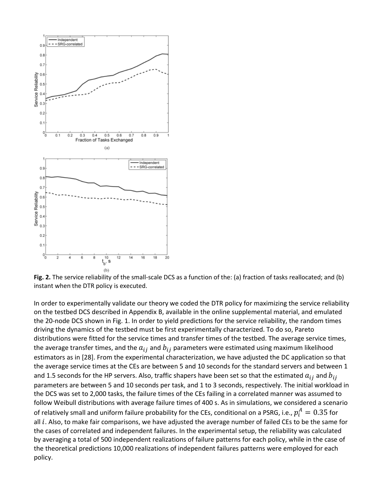

**Fig. 2.** The service reliability of the small-scale DCS as a function of the: (a) fraction of tasks reallocated; and (b) instant when the DTR policy is executed.

In order to experimentally validate our theory we coded the DTR policy for maximizing the service reliability on the testbed DCS described in Appendix B, available in the online supplemental material, and emulated the 20-node DCS shown in Fig. 1. In order to yield predictions for the service reliability, the random times driving the dynamics of the testbed must be first experimentally characterized. To do so, Pareto distributions were fitted for the service times and transfer times of the testbed. The average service times, the average transfer times, and the  $a_{ij}$  and  $b_{ij}$  parameters were estimated using maximum likelihood estimators as in [28]. From the experimental characterization, we have adjusted the DC application so that the average service times at the CEs are between 5 and 10 seconds for the standard servers and between 1 and 1.5 seconds for the HP servers. Also, traffic shapers have been set so that the estimated  $a_{ij}$  and  $b_{ij}$ parameters are between 5 and 10 seconds per task, and 1 to 3 seconds, respectively. The initial workload in the DCS was set to 2,000 tasks, the failure times of the CEs failing in a correlated manner was assumed to follow Weibull distributions with average failure times of 400 s. As in simulations, we considered a scenario of relatively small and uniform failure probability for the CEs, conditional on a PSRG, i.e.,  $p_i^A=0.35$  for all  $i$ . Also, to make fair comparisons, we have adjusted the average number of failed CEs to be the same for the cases of correlated and independent failures. In the experimental setup, the reliability was calculated by averaging a total of 500 independent realizations of failure patterns for each policy, while in the case of the theoretical predictions 10,000 realizations of independent failures patterns were employed for each policy.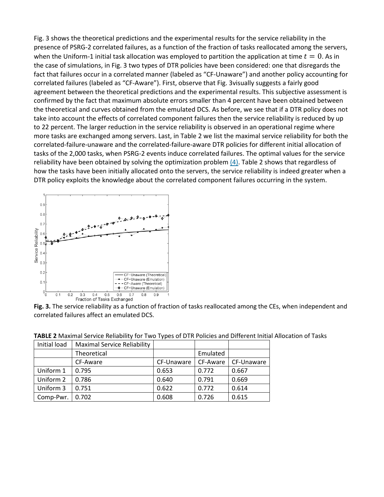Fig. 3 shows the theoretical predictions and the experimental results for the service reliability in the presence of PSRG-2 correlated failures, as a function of the fraction of tasks reallocated among the servers, when the Uniform-1 initial task allocation was employed to partition the application at time  $t=0$ . As in the case of simulations, in Fig. 3 two types of DTR policies have been considered: one that disregards the fact that failures occur in a correlated manner (labeled as "CF-Unaware") and another policy accounting for correlated failures (labeled as "CF-Aware"). First, observe that Fig. 3visually suggests a fairly good agreement between the theoretical predictions and the experimental results. This subjective assessment is confirmed by the fact that maximum absolute errors smaller than 4 percent have been obtained between the theoretical and curves obtained from the emulated DCS. As before, we see that if a DTR policy does not take into account the effects of correlated component failures then the service reliability is reduced by up to 22 percent. The larger reduction in the service reliability is observed in an operational regime where more tasks are exchanged among servers. Last, in Table 2 we list the maximal service reliability for both the correlated-failure-unaware and the correlated-failure-aware DTR policies for different initial allocation of tasks of the 2,000 tasks, when PSRG-2 events induce correlated failures. The optimal values for the service reliability have been obtained by solving the optimization problem  $(4)$ . Table 2 shows that regardless of how the tasks have been initially allocated onto the servers, the service reliability is indeed greater when a DTR policy exploits the knowledge about the correlated component failures occurring in the system.



**Fig. 3.** The service reliability as a function of fraction of tasks reallocated among the CEs, when independent and correlated failures affect an emulated DCS.

| Initial load | <b>Maximal Service Reliability</b> |            |          |            |
|--------------|------------------------------------|------------|----------|------------|
|              | Theoretical                        |            | Emulated |            |
|              | CF-Aware                           | CF-Unaware | CF-Aware | CF-Unaware |
| Uniform 1    | 0.795                              | 0.653      | 0.772    | 0.667      |
| Uniform 2    | 0.786                              | 0.640      | 0.791    | 0.669      |
| Uniform 3    | 0.751                              | 0.622      | 0.772    | 0.614      |
| Comp-Pwr.    | 0.702                              | 0.608      | 0.726    | 0.615      |

**TABLE 2** Maximal Service Reliability for Two Types of DTR Policies and Different Initial Allocation of Tasks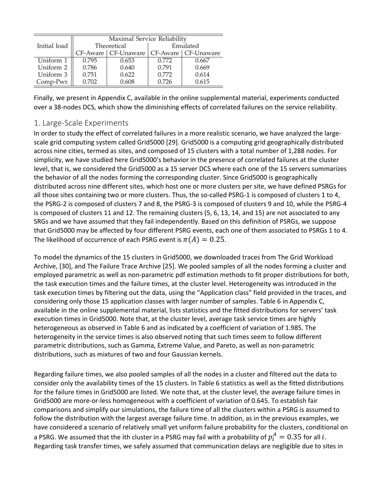|              | Maximal Service Reliability |                                               |          |       |  |  |
|--------------|-----------------------------|-----------------------------------------------|----------|-------|--|--|
| Initial load |                             | Theoretical                                   | Emulated |       |  |  |
|              |                             | CF-Aware   CF-Unaware   CF-Aware   CF-Unaware |          |       |  |  |
| Uniform 1    | 0.795                       | 0.653                                         | 0.772    | 0.667 |  |  |
| Uniform 2    | 0.786                       | 0.640                                         | 0.791    | 0.669 |  |  |
| Uniform 3    | 0.751                       | 0.622                                         | 0.772    | 0.614 |  |  |
| Comp-Pwr.    | 0.702                       | 0.608                                         | 0.726    | 0.615 |  |  |

Finally, we present in Appendix C, available in the online supplemental material, experiments conducted over a 38-nodes DCS, which show the diminishing effects of correlated failures on the service reliability.

#### 1. Large-Scale Experiments

In order to study the effect of correlated failures in a more realistic scenario, we have analyzed the largescale grid computing system called Grid5000 [29]. Grid5000 is a computing grid geographically distributed across nine cities, termed as sites, and composed of 15 clusters with a total number of 1,288 nodes. For simplicity, we have studied here Grid5000's behavior in the presence of correlated failures at the cluster level, that is, we considered the Grid5000 as a 15 server DCS where each one of the 15 servers summarizes the behavior of all the nodes forming the corresponding cluster. Since Grid5000 is geographically distributed across nine different sites, which host one or more clusters per site, we have defined PSRGs for all those sites containing two or more clusters. Thus, the so-called PSRG-1 is composed of clusters 1 to 4, the PSRG-2 is composed of clusters 7 and 8, the PSRG-3 is composed of clusters 9 and 10, while the PSRG-4 is composed of clusters 11 and 12. The remaining clusters (5, 6, 13, 14, and 15) are not associated to any SRGs and we have assumed that they fail independently. Based on this definition of PSRGs, we suppose that Grid5000 may be affected by four different PSRG events, each one of them associated to PSRGs 1 to 4. The likelihood of occurrence of each PSRG event is  $\pi(A) = 0.25$ .

To model the dynamics of the 15 clusters in Grid5000, we downloaded traces from The Grid Workload Archive, [30], and The Failure Trace Archive [25]. We pooled samples of all the nodes forming a cluster and employed parametric as well as non-parametric pdf estimation methods to fit proper distributions for both, the task execution times and the failure times, at the cluster level. Heterogeneity was introduced in the task execution times by filtering out the data, using the "Application class" field provided in the traces, and considering only those 15 application classes with larger number of samples. Table 6 in Appendix C, available in the online supplemental material, lists statistics and the fitted distributions for servers' task execution times in Grid5000. Note that, at the cluster level, average task service times are highly heterogeneous as observed in Table 6 and as indicated by a coefficient of variation of 1.985. The heterogeneity in the service times is also observed noting that such times seem to follow different parametric distributions, such as Gamma, Extreme Value, and Pareto, as well as non-parametric distributions, such as mixtures of two and four Gaussian kernels.

Regarding failure times, we also pooled samples of all the nodes in a cluster and filtered out the data to consider only the availability times of the 15 clusters. In Table 6 statistics as well as the fitted distributions for the failure times in Grid5000 are listed. We note that, at the cluster level, the average failure times in Grid5000 are more-or-less homogeneous with a coefficient of variation of 0.645. To establish fair comparisons and simplify our simulations, the failure time of all the clusters within a PSRG is assumed to follow the distribution with the largest average failure time. In addition, as in the previous examples, we have considered a scenario of relatively small yet uniform failure probability for the clusters, conditional on a PSRG. We assumed that the ith cluster in a PSRG may fail with a probability of  $p_i^A = 0.35$  for all i. Regarding task transfer times, we safely assumed that communication delays are negligible due to sites in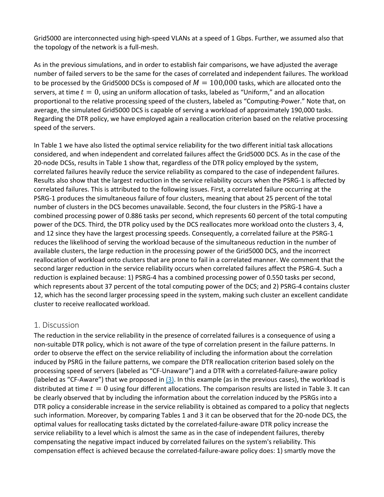Grid5000 are interconnected using high-speed VLANs at a speed of 1 Gbps. Further, we assumed also that the topology of the network is a full-mesh.

As in the previous simulations, and in order to establish fair comparisons, we have adjusted the average number of failed servers to be the same for the cases of correlated and independent failures. The workload to be processed by the Grid5000 DCSs is composed of  $M = 100,000$  tasks, which are allocated onto the servers, at time  $t = 0$ , using an uniform allocation of tasks, labeled as "Uniform," and an allocation proportional to the relative processing speed of the clusters, labeled as "Computing-Power." Note that, on average, the simulated Grid5000 DCS is capable of serving a workload of approximately 190,000 tasks. Regarding the DTR policy, we have employed again a reallocation criterion based on the relative processing speed of the servers.

In Table 1 we have also listed the optimal service reliability for the two different initial task allocations considered, and when independent and correlated failures affect the Grid5000 DCS. As in the case of the 20-node DCSs, results in Table 1 show that, regardless of the DTR policy employed by the system, correlated failures heavily reduce the service reliability as compared to the case of independent failures. Results also show that the largest reduction in the service reliability occurs when the PSRG-1 is affected by correlated failures. This is attributed to the following issues. First, a correlated failure occurring at the PSRG-1 produces the simultaneous failure of four clusters, meaning that about 25 percent of the total number of clusters in the DCS becomes unavailable. Second, the four clusters in the PSRG-1 have a combined processing power of 0.886 tasks per second, which represents 60 percent of the total computing power of the DCS. Third, the DTR policy used by the DCS reallocates more workload onto the clusters 3, 4, and 12 since they have the largest processing speeds. Consequently, a correlated failure at the PSRG-1 reduces the likelihood of serving the workload because of the simultaneous reduction in the number of available clusters, the large reduction in the processing power of the Grid5000 DCS, and the incorrect reallocation of workload onto clusters that are prone to fail in a correlated manner. We comment that the second larger reduction in the service reliability occurs when correlated failures affect the PSRG-4. Such a reduction is explained because: 1) PSRG-4 has a combined processing power of 0.550 tasks per second, which represents about 37 percent of the total computing power of the DCS; and 2) PSRG-4 contains cluster 12, which has the second larger processing speed in the system, making such cluster an excellent candidate cluster to receive reallocated workload.

#### 1. Discussion

The reduction in the service reliability in the presence of correlated failures is a consequence of using a non-suitable DTR policy, which is not aware of the type of correlation present in the failure patterns. In order to observe the effect on the service reliability of including the information about the correlation induced by PSRG in the failure patterns, we compare the DTR reallocation criterion based solely on the processing speed of servers (labeled as "CF-Unaware") and a DTR with a correlated-failure-aware policy (labeled as "CF-Aware") that we proposed in  $(3)$ . In this example (as in the previous cases), the workload is distributed at time  $t = 0$  using four different allocations. The comparison results are listed in Table 3. It can be clearly observed that by including the information about the correlation induced by the PSRGs into a DTR policy a considerable increase in the service reliability is obtained as compared to a policy that neglects such information. Moreover, by comparing Tables 1 and 3 it can be observed that for the 20-node DCS, the optimal values for reallocating tasks dictated by the correlated-failure-aware DTR policy increase the service reliability to a level which is almost the same as in the case of independent failures, thereby compensating the negative impact induced by correlated failures on the system's reliability. This compensation effect is achieved because the correlated-failure-aware policy does: 1) smartly move the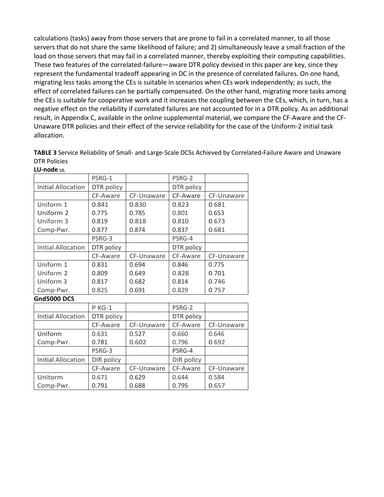calculations (tasks) away from those servers that are prone to fail in a correlated manner, to all those servers that do not share the same likelihood of failure; and 2) simultaneously leave a small fraction of the load on those servers that may fail in a correlated manner, thereby exploiting their computing capabilities. These two features of the correlated-failure—aware DTR policy devised in this paper are key, since they represent the fundamental tradeoff appearing in DC in the presence of correlated failures. On one hand, migrating less tasks among the CEs is suitable in scenarios when CEs work independently; as such, the effect of correlated failures can be partially compensated. On the other hand, migrating more tasks among the CEs is suitable for cooperative work and it increases the coupling between the CEs, which, in turn, has a negative effect on the reliability if correlated failures are not accounted for in a DTR policy. As an additional result, in Appendix C, available in the online supplemental material, we compare the CF-Aware and the CF-Unaware DTR policies and their effect of the service reliability for the case of the Uniform-2 initial task allocation.

**TABLE 3** Service Reliability of Small- and Large-Scale DCSs Achieved by Correlated-Failure Aware and Unaware DTR Policies **LU-node UL**

| בט־ווטשכ טב               |            |            |            |            |
|---------------------------|------------|------------|------------|------------|
|                           | PSRG-1     |            | PSRG-2     |            |
| <b>Initial Allocation</b> | DTR policy |            | DTR policy |            |
|                           | CF-Aware   | CF-Unaware | CF-Aware   | CF-Unaware |
| Uniform 1                 | 0.841      | 0.830      | 0.823      | 0.681      |
| Uniform 2                 | 0.775      | 0.785      | 0.801      | 0.653      |
| Uniform 3                 | 0.819      | 0.818      | 0.810      | 0.673      |
| Comp-Pwr.                 | 0.877      | 0.874      | 0.837      | 0.681      |
|                           | PSRG-3     |            | PSRG-4     |            |
| <b>Initial Allocation</b> | DTR policy |            | DTR policy |            |
|                           | CF-Aware   | CF-Unaware | CF-Aware   | CF-Unaware |
| Uniform 1                 | 0.831      | 0.694      | 0.846      | 0.775      |
| Uniform 2                 | 0.809      | 0.649      | 0.828      | 0.701      |
| Uniform 3                 | 0.817      | 0.682      | 0.814      | 0.746      |
| Comp-Pwr.                 | 0.825      | 0.691      | 0.829      | 0.757      |
|                           |            |            |            |            |

**Gnd5000 DCS**

|                           | <b>P KG-1</b> |            | PSRG-2     |            |
|---------------------------|---------------|------------|------------|------------|
| <b>Initial Allocation</b> | DTR policy    |            | DTR policy |            |
|                           | CF-Aware      | CF-Unaware | CF-Aware   | CF-Unaware |
| Uniform                   | 0.631         | 0.527      | 0.660      | 0.646      |
| Comp-Pwr.                 | 0.781         | 0.602      | 0.796      | 0.692      |
|                           | PSRG-3        |            | PSRG-4     |            |
| <b>Initial Allocation</b> | DIR policy    |            | DIR policy |            |
|                           | CF-Aware      | CF-Unaware | CF-Aware   | CF-Unaware |
| Unitorm                   | 0.671         | 0.629      | 0.644      | 0.584      |
| Comp-Pwr.                 | 0.791         | 0.688      | 0.795      | 0.657      |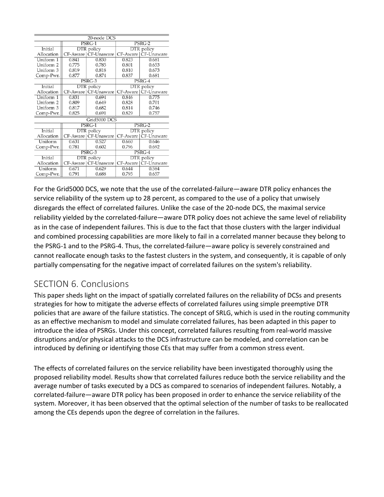| 20-node DCS    |          |                               |                   |                       |  |  |  |
|----------------|----------|-------------------------------|-------------------|-----------------------|--|--|--|
|                |          | PSRG-1                        | PSRG-2            |                       |  |  |  |
| Initial        |          | DTR policy                    | DTR policy        |                       |  |  |  |
| Allocation     |          | CF-Aware   CF-Unaware         |                   | CF-Aware   CF-Unaware |  |  |  |
| Uniform 1      | 0.841    | 0.830                         | 0.823             | 0.681                 |  |  |  |
| Uniform 2      | 0.775    | 0.785                         | 0.801             | 0.653                 |  |  |  |
| Uniform 3      | 0.819    | 0.818                         | 0.810             | 0.673                 |  |  |  |
| Comp-Pwr.      | 0.877    | 0.874                         | 0.837             | 0.681                 |  |  |  |
|                |          | $PSRG-3$                      |                   | $PSRG-4$              |  |  |  |
| Initial        |          | DTR policy                    |                   | DTR policy            |  |  |  |
| Allocation     | CF-Aware | CF-Unaware                    |                   | CF-Aware   CF-Unaware |  |  |  |
| Uniform 1      | 0.831    | 0.694                         |                   | 0.775                 |  |  |  |
| Uniform 2      | 0.809    | 0.649                         | 0.828             | 0.701                 |  |  |  |
| Uniform 3      | 0.817    | 0.682                         | 0.814             | 0.746                 |  |  |  |
| Comp-Pwr.      | 0.825    | 0.691                         | 0.829             | 0.757                 |  |  |  |
|                |          | Grid5000 DCS                  |                   |                       |  |  |  |
|                |          | PSRG-1                        |                   | PSRG-2                |  |  |  |
| <b>Initial</b> |          | DTR policy                    | <b>DTR</b> policy |                       |  |  |  |
| Allocation     |          | CF-Aware   CF-Unaware         |                   | CF-Aware   CF-Unaware |  |  |  |
| Uniform        | 0.631    | 0.527                         | 0.660             | 0.646                 |  |  |  |
| Comp-Pwr.      | 0.781    | 0.602                         | 0.796             | 0.692                 |  |  |  |
|                |          | $\overline{\mathrm{PSRG}}$ -3 | $PSRG-4$          |                       |  |  |  |
| Initial        |          | DTR policy                    |                   | DTR policy            |  |  |  |
| Allocation     |          | CF-Aware   CF-Unaware         |                   | CF-Aware   CF-Unaware |  |  |  |
| Uniform        | 0.671    | 0.629                         | 0.644             | 0.584                 |  |  |  |
| Comp-Pwr.      | 0.791    | 0.688                         | 0.795             | 0.657                 |  |  |  |

For the Grid5000 DCS, we note that the use of the correlated-failure—aware DTR policy enhances the service reliability of the system up to 28 percent, as compared to the use of a policy that unwisely disregards the effect of correlated failures. Unlike the case of the 20-node DCS, the maximal service reliability yielded by the correlated-failure—aware DTR policy does not achieve the same level of reliability as in the case of independent failures. This is due to the fact that those clusters with the larger individual and combined processing capabilities are more likely to fail in a correlated manner because they belong to the PSRG-1 and to the PSRG-4. Thus, the correlated-failure—aware policy is severely constrained and cannot reallocate enough tasks to the fastest clusters in the system, and consequently, it is capable of only partially compensating for the negative impact of correlated failures on the system's reliability.

## SECTION 6. Conclusions

This paper sheds light on the impact of spatially correlated failures on the reliability of DCSs and presents strategies for how to mitigate the adverse effects of correlated failures using simple preemptive DTR policies that are aware of the failure statistics. The concept of SRLG, which is used in the routing community as an effective mechanism to model and simulate correlated failures, has been adapted in this paper to introduce the idea of PSRGs. Under this concept, correlated failures resulting from real-world massive disruptions and/or physical attacks to the DCS infrastructure can be modeled, and correlation can be introduced by defining or identifying those CEs that may suffer from a common stress event.

The effects of correlated failures on the service reliability have been investigated thoroughly using the proposed reliability model. Results show that correlated failures reduce both the service reliability and the average number of tasks executed by a DCS as compared to scenarios of independent failures. Notably, a correlated-failure—aware DTR policy has been proposed in order to enhance the service reliability of the system. Moreover, it has been observed that the optimal selection of the number of tasks to be reallocated among the CEs depends upon the degree of correlation in the failures.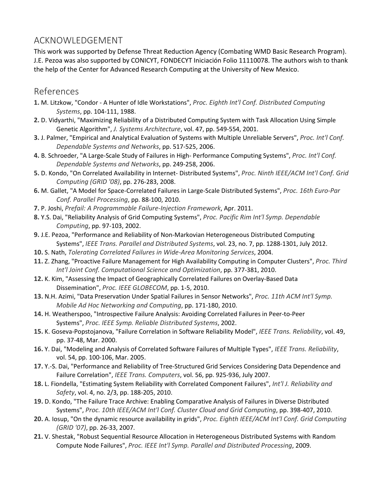## ACKNOWLEDGEMENT

This work was supported by Defense Threat Reduction Agency (Combating WMD Basic Research Program). J.E. Pezoa was also supported by CONICYT, FONDECYT Iniciación Folio 11110078. The authors wish to thank the help of the Center for Advanced Research Computing at the University of New Mexico.

#### References

- **1.** M. Litzkow, "Condor A Hunter of Idle Workstations", *Proc. Eighth Int'l Conf. Distributed Computing Systems*, pp. 104-111, 1988.
- **2.** D. Vidyarthi, "Maximizing Reliability of a Distributed Computing System with Task Allocation Using Simple Genetic Algorithm", *J. Systems Architecture*, vol. 47, pp. 549-554, 2001.
- **3.** J. Palmer, "Empirical and Analytical Evaluation of Systems with Multiple Unreliable Servers", *Proc. Int'l Conf. Dependable Systems and Networks*, pp. 517-525, 2006.
- **4.** B. Schroeder, "A Large-Scale Study of Failures in High- Performance Computing Systems", *Proc. Int'l Conf. Dependable Systems and Networks*, pp. 249-258, 2006.
- **5.** D. Kondo, "On Correlated Availability in Internet- Distributed Systems", *Proc. Ninth IEEE/ACM Int'l Conf. Grid Computing (GRID '08)*, pp. 276-283, 2008.
- **6.** M. Gallet, "A Model for Space-Correlated Failures in Large-Scale Distributed Systems", *Proc. 16th Euro-Par Conf. Parallel Processing*, pp. 88-100, 2010.
- **7.** P. Joshi, *Prefail: A Programmable Failure-Injection Framework*, Apr. 2011.
- **8.** Y.S. Dai, "Reliability Analysis of Grid Computing Systems", *Proc. Pacific Rim Int'l Symp. Dependable Computing*, pp. 97-103, 2002.
- **9.** J.E. Pezoa, "Performance and Reliability of Non-Markovian Heterogeneous Distributed Computing Systems", *IEEE Trans. Parallel and Distributed Systems*, vol. 23, no. 7, pp. 1288-1301, July 2012.
- **10.** S. Nath, *Tolerating Correlated Failures in Wide-Area Monitoring Services*, 2004.
- **11.** Z. Zhang, "Proactive Failure Management for High Availability Computing in Computer Clusters", *Proc. Third Int'l Joint Conf. Computational Science and Optimization*, pp. 377-381, 2010.
- **12.** K. Kim, "Assessing the Impact of Geographically Correlated Failures on Overlay-Based Data Dissemination", *Proc. IEEE GLOBECOM*, pp. 1-5, 2010.
- **13.** N.H. Azimi, "Data Preservation Under Spatial Failures in Sensor Networks", *Proc. 11th ACM Int'l Symp. Mobile Ad Hoc Networking and Computing*, pp. 171-180, 2010.
- **14.** H. Weatherspoo, "Introspective Failure Analysis: Avoiding Correlated Failures in Peer-to-Peer Systems", *Proc. IEEE Symp. Reliable Distributed Systems*, 2002.
- **15.** K. Goseva-Popstojanova, "Failure Correlation in Software Reliability Model", *IEEE Trans. Reliability*, vol. 49, pp. 37-48, Mar. 2000.
- **16.** Y. Dai, "Modeling and Analysis of Correlated Software Failures of Multiple Types", *IEEE Trans. Reliability*, vol. 54, pp. 100-106, Mar. 2005.
- **17.** Y.-S. Dai, "Performance and Reliability of Tree-Structured Grid Services Considering Data Dependence and Failure Correlation", *IEEE Trans. Computers*, vol. 56, pp. 925-936, July 2007.
- **18.** L. Fiondella, "Estimating System Reliability with Correlated Component Failures", *Int'l J. Reliability and Safety*, vol. 4, no. 2/3, pp. 188-205, 2010.
- **19.** D. Kondo, "The Failure Trace Archive: Enabling Comparative Analysis of Failures in Diverse Distributed Systems", *Proc. 10th IEEE/ACM Int'l Conf. Cluster Cloud and Grid Computing*, pp. 398-407, 2010.
- **20.** A. Iosup, "On the dynamic resource availability in grids", *Proc. Eighth IEEE/ACM Int'l Conf. Grid Computing (GRID '07)*, pp. 26-33, 2007.
- **21.** V. Shestak, "Robust Sequential Resource Allocation in Heterogeneous Distributed Systems with Random Compute Node Failures", *Proc. IEEE Int'l Symp. Parallel and Distributed Processing*, 2009.